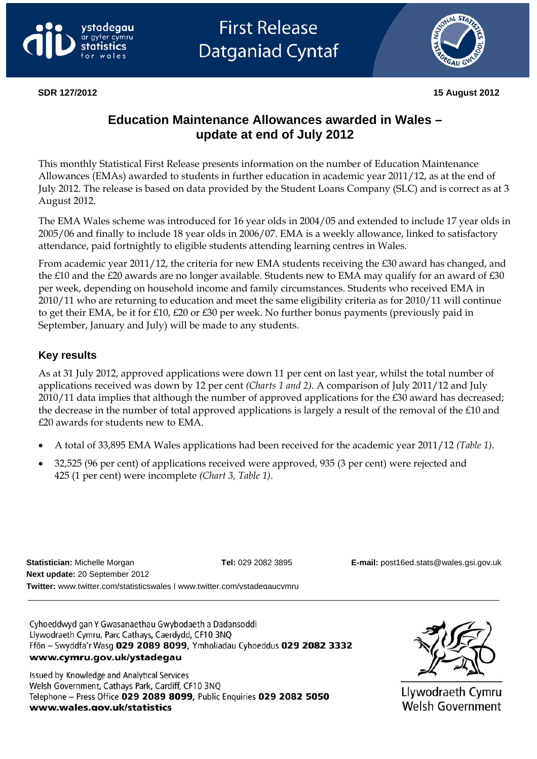





**SDR 127/2012 15 August 2012** 

# **Education Maintenance Allowances awarded in Wales – update at end of July 2012**

This monthly Statistical First Release presents information on the number of Education Maintenance Allowances (EMAs) awarded to students in further education in academic year 2011/12, as at the end of July 2012. The release is based on data provided by the Student Loans Company (SLC) and is correct as at 3 August 2012.

The EMA Wales scheme was introduced for 16 year olds in 2004/05 and extended to include 17 year olds in 2005/06 and finally to include 18 year olds in 2006/07. EMA is a weekly allowance, linked to satisfactory attendance, paid fortnightly to eligible students attending learning centres in Wales.

From academic year 2011/12, the criteria for new EMA students receiving the £30 award has changed, and the £10 and the £20 awards are no longer available. Students new to EMA may qualify for an award of £30 per week, depending on household income and family circumstances. Students who received EMA in 2010/11 who are returning to education and meet the same eligibility criteria as for 2010/11 will continue to get their EMA, be it for £10, £20 or £30 per week. No further bonus payments (previously paid in September, January and July) will be made to any students.

# **Key results**

As at 31 July 2012, approved applications were down 11 per cent on last year, whilst the total number of applications received was down by 12 per cent *(Charts 1 and 2)*. A comparison of July 2011/12 and July 2010/11 data implies that although the number of approved applications for the £30 award has decreased; the decrease in the number of total approved applications is largely a result of the removal of the £10 and £20 awards for students new to EMA.

- A total of 33,895 EMA Wales applications had been received for the academic year 2011/12 *(Table 1)*.
- 32,525 (96 per cent) of applications received were approved, 935 (3 per cent) were rejected and 425 (1 per cent) were incomplete *(Chart 3, Table 1)*.

**Statistician:** Michelle Morgan **Tel:** 029 2082 3895 **E-mail:** [post16ed.stats@wales.gsi.gov.uk](mailto:post16ed.stats@wales.gsi.gov.uk)  **Next update:** 20 September 2012 **Twitter:** [www.twitter.com/statisticswales](http://www.twitter.com/statisticswales) | [www.twitter.com/ystadegaucymru](http://www.twitter.com/ystadegaucymru)

Cyhoeddwyd gan Y Gwasanaethau Gwybodaeth a Dadansoddi Llywodraeth Cymru, Parc Cathays, Caerdydd, CF10 3NQ Ffôn - Swyddfa'r Wasg 029 2089 8099, Ymholiadau Cyhoeddus 029 2082 3332 www.cymru.gov.uk/ystadegau

Issued by Knowledge and Analytical Services Welsh Government, Cathays Park, Cardiff, CF10 3NO Telephone - Press Office 029 2089 8099, Public Enquiries 029 2082 5050 www.wales.gov.uk/statistics



Llywodraeth Cymru Welsh Government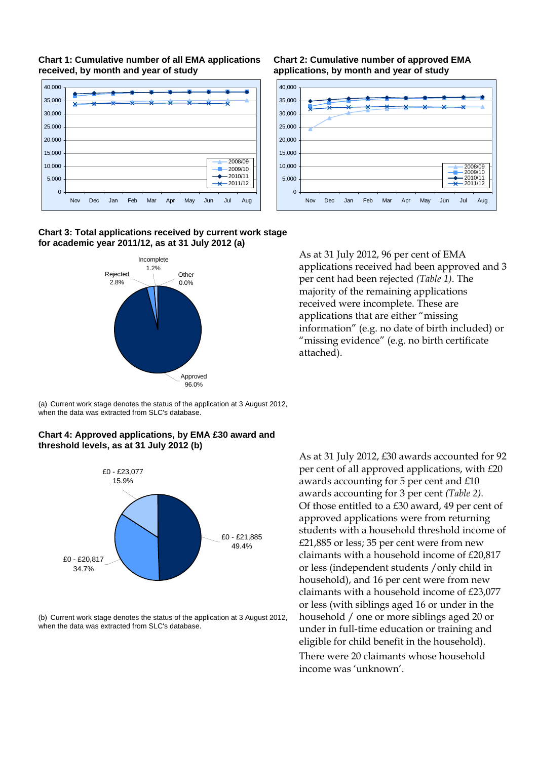



**Chart 2: Cumulative number of approved EMA applications, by month and year of study**



**Chart 3: Total applications received by current work stage for academic year 2011/12, as at 31 July 2012 (a)** 



As at 31 July 2012, 96 per cent of EMA applications received had been approved and 3 per cent had been rejected *(Table 1)*. The majority of the remaining applications received were incomplete. These are applications that are either "missing information" (e.g. no date of birth included) or "missing evidence" (e.g. no birth certificate attached).

(a) Current work stage denotes the status of the application at 3 August 2012, when the data was extracted from SLC's database.





(b) Current work stage denotes the status of the application at 3 August 2012, when the data was extracted from SLC's database.

As at 31 July 2012, £30 awards accounted for 92 per cent of all approved applications, with £20 awards accounting for 5 per cent and £10 awards accounting for 3 per cent *(Table 2).*  Of those entitled to a £30 award, 49 per cent of approved applications were from returning students with a household threshold income of £21,885 or less; 35 per cent were from new claimants with a household income of £20,817 or less (independent students /only child in household), and 16 per cent were from new claimants with a household income of £23,077 or less (with siblings aged 16 or under in the household / one or more siblings aged 20 or under in full-time education or training and eligible for child benefit in the household). There were 20 claimants whose household income was 'unknown'.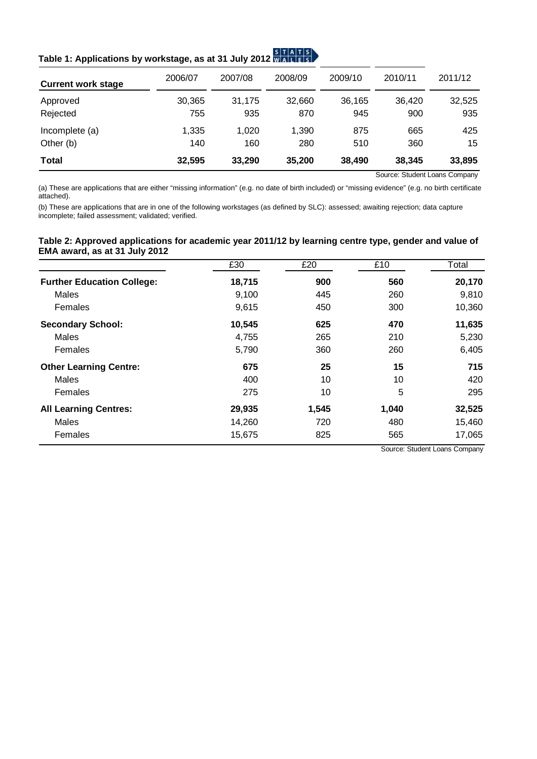| Table 1: Applications by workstage, as at 31 July 2012 MAT FISL |  |  |  |
|-----------------------------------------------------------------|--|--|--|
|                                                                 |  |  |  |

| <b>Current work stage</b> | 2006/07 | 2007/08 | 2008/09 | 2009/10 | 2010/11 | 2011/12 |
|---------------------------|---------|---------|---------|---------|---------|---------|
| Approved                  | 30,365  | 31.175  | 32,660  | 36.165  | 36.420  | 32,525  |
| Rejected                  | 755     | 935     | 870     | 945     | 900     | 935     |
| Incomplete (a)            | 1,335   | 1.020   | 1,390   | 875     | 665     | 425     |
| Other (b)                 | 140     | 160     | 280     | 510     | 360     | 15      |
| <b>Total</b>              | 32,595  | 33,290  | 35,200  | 38,490  | 38,345  | 33,895  |

**Contract Contract Contract** 

Source: Student Loans Company

(a) These are applications that are either "missing information" (e.g. no date of birth included) or "missing evidence" (e.g. no birth certificate attached).

(b) These are applications that are in one of the following workstages (as defined by SLC): assessed; awaiting rejection; data capture incomplete; failed assessment; validated; verified.

#### **Table 2: Approved applications for academic year 2011/12 by learning centre type, gender and value of EMA award, as at 31 July 2012**

|                                   | £30    | £20   | £10   | Total  |  |
|-----------------------------------|--------|-------|-------|--------|--|
| <b>Further Education College:</b> | 18,715 | 900   | 560   | 20,170 |  |
| <b>Males</b>                      | 9,100  | 445   | 260   | 9,810  |  |
| Females                           | 9,615  | 450   | 300   | 10,360 |  |
| <b>Secondary School:</b>          | 10,545 | 625   | 470   | 11,635 |  |
| <b>Males</b>                      | 4,755  | 265   | 210   | 5,230  |  |
| Females                           | 5,790  | 360   | 260   | 6,405  |  |
| <b>Other Learning Centre:</b>     | 675    | 25    | 15    | 715    |  |
| Males                             | 400    | 10    | 10    | 420    |  |
| Females                           | 275    | 10    | 5     | 295    |  |
| <b>All Learning Centres:</b>      | 29,935 | 1,545 | 1,040 | 32,525 |  |
| Males                             | 14,260 | 720   | 480   | 15,460 |  |
| Females                           | 15,675 | 825   | 565   | 17,065 |  |

Source: Student Loans Company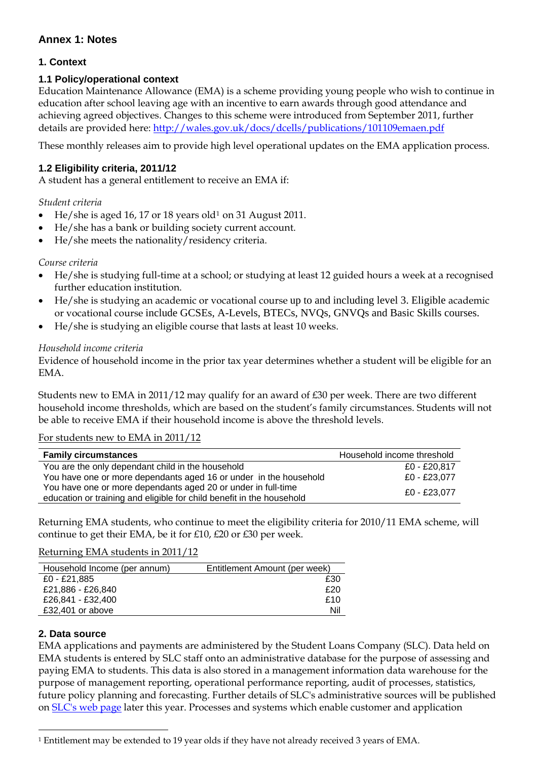# **Annex 1: Notes**

# **1. Context**

### **1.1 Policy/operational context**

Education Maintenance Allowance (EMA) is a scheme providing young people who wish to continue in education after school leaving age with an incentive to earn awards through good attendance and achieving agreed objectives. Changes to this scheme were introduced from September 2011, further details are provided here: <http://wales.gov.uk/docs/dcells/publications/101109emaen.pdf>

These monthly releases aim to provide high level operational updates on the EMA application process.

### **1.2 Eligibility criteria, 2011/12**

A student has a general entitlement to receive an EMA if:

#### *Student criteria*

- He/she is aged 16, 17 or 18 years old[1](#page-3-0) on 31 August 2011.
- He/she has a bank or building society current account.
- He/she meets the nationality/residency criteria.

#### *Course criteria*

- He/she is studying full-time at a school; or studying at least 12 guided hours a week at a recognised further education institution.
- He/she is studying an academic or vocational course up to and including level 3. Eligible academic or vocational course include GCSEs, A-Levels, BTECs, NVQs, GNVQs and Basic Skills courses.
- He/she is studying an eligible course that lasts at least 10 weeks.

#### *Household income criteria*

Evidence of household income in the prior tax year determines whether a student will be eligible for an EMA.

Students new to EMA in 2011/12 may qualify for an award of £30 per week. There are two different household income thresholds, which are based on the student's family circumstances. Students will not be able to receive EMA if their household income is above the threshold levels.

#### For students new to EMA in 2011/12

| <b>Family circumstances</b>                                           | Household income threshold |
|-----------------------------------------------------------------------|----------------------------|
| You are the only dependant child in the household                     | £0 - £20.817               |
| You have one or more dependants aged 16 or under in the household     | £0 - £23.077               |
| You have one or more dependants aged 20 or under in full-time         | £0 - £23.077               |
| education or training and eligible for child benefit in the household |                            |

Returning EMA students, who continue to meet the eligibility criteria for 2010/11 EMA scheme, will continue to get their EMA, be it for £10, £20 or £30 per week.

#### Returning EMA students in 2011/12

| Household Income (per annum) | Entitlement Amount (per week) |
|------------------------------|-------------------------------|
| £0 - £21,885                 | £30                           |
| £21,886 - £26,840            | £20                           |
| £26,841 - £32,400            | £10                           |
| £32,401 or above             | Nil                           |

#### **2. Data source**

 $\overline{a}$ 

EMA applications and payments are administered by the Student Loans Company (SLC). Data held on EMA students is entered by SLC staff onto an administrative database for the purpose of assessing and paying EMA to students. This data is also stored in a management information data warehouse for the purpose of management reporting, operational performance reporting, audit of processes, statistics, future policy planning and forecasting. Further details of SLC's administrative sources will be published on [SLC's web page](http://www.slc.co.uk/) later this year. Processes and systems which enable customer and application

<span id="page-3-0"></span><sup>1</sup> Entitlement may be extended to 19 year olds if they have not already received 3 years of EMA.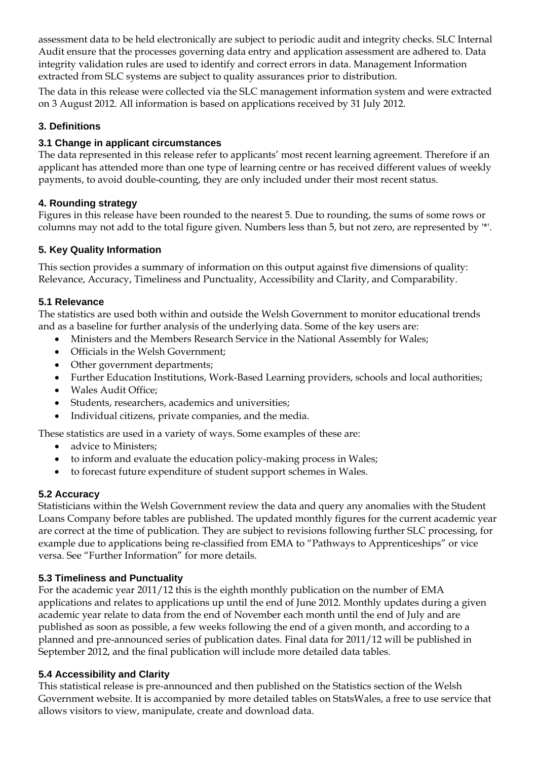assessment data to be held electronically are subject to periodic audit and integrity checks. SLC Internal Audit ensure that the processes governing data entry and application assessment are adhered to. Data integrity validation rules are used to identify and correct errors in data. Management Information extracted from SLC systems are subject to quality assurances prior to distribution.

The data in this release were collected via the SLC management information system and were extracted on 3 August 2012. All information is based on applications received by 31 July 2012.

# **3. Definitions**

### **3.1 Change in applicant circumstances**

The data represented in this release refer to applicants' most recent learning agreement. Therefore if an applicant has attended more than one type of learning centre or has received different values of weekly payments, to avoid double-counting, they are only included under their most recent status.

# **4. Rounding strategy**

Figures in this release have been rounded to the nearest 5. Due to rounding, the sums of some rows or columns may not add to the total figure given. Numbers less than 5, but not zero, are represented by '\*'.

# **5. Key Quality Information**

This section provides a summary of information on this output against five dimensions of quality: Relevance, Accuracy, Timeliness and Punctuality, Accessibility and Clarity, and Comparability.

### **5.1 Relevance**

The statistics are used both within and outside the Welsh Government to monitor educational trends and as a baseline for further analysis of the underlying data. Some of the key users are:

- Ministers and the Members Research Service in the National Assembly for Wales;
- Officials in the Welsh Government;
- Other government departments;
- Further Education Institutions, Work-Based Learning providers, schools and local authorities;
- Wales Audit Office;
- Students, researchers, academics and universities;
- Individual citizens, private companies, and the media.

These statistics are used in a variety of ways. Some examples of these are:

- advice to Ministers;
- to inform and evaluate the education policy-making process in Wales;
- to forecast future expenditure of student support schemes in Wales.

### **5.2 Accuracy**

Statisticians within the Welsh Government review the data and query any anomalies with the Student Loans Company before tables are published. The updated monthly figures for the current academic year are correct at the time of publication. They are subject to revisions following further SLC processing, for example due to applications being re-classified from EMA to "Pathways to Apprenticeships" or vice versa. See "Further Information" for more details.

### **5.3 Timeliness and Punctuality**

For the academic year 2011/12 this is the eighth monthly publication on the number of EMA applications and relates to applications up until the end of June 2012. Monthly updates during a given academic year relate to data from the end of November each month until the end of July and are published as soon as possible, a few weeks following the end of a given month, and according to a planned and pre-announced series of publication dates. Final data for 2011/12 will be published in September 2012, and the final publication will include more detailed data tables.

# **5.4 Accessibility and Clarity**

This statistical release is pre-announced and then published on the Statistics section of the Welsh Government website. It is accompanied by more detailed tables on StatsWales, a free to use service that allows visitors to view, manipulate, create and download data.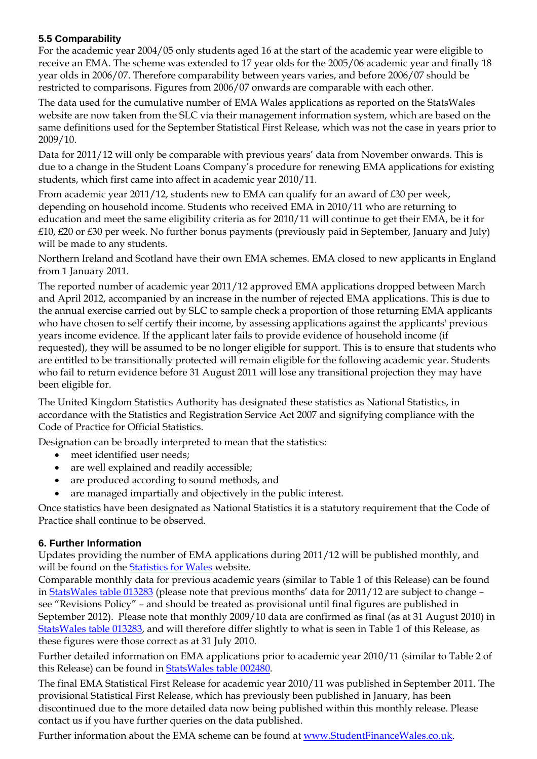# **5.5 Comparability**

For the academic year 2004/05 only students aged 16 at the start of the academic year were eligible to receive an EMA. The scheme was extended to 17 year olds for the 2005/06 academic year and finally 18 year olds in 2006/07. Therefore comparability between years varies, and before 2006/07 should be restricted to comparisons. Figures from 2006/07 onwards are comparable with each other.

The data used for the cumulative number of EMA Wales applications as reported on the StatsWales website are now taken from the SLC via their management information system, which are based on the same definitions used for the September Statistical First Release, which was not the case in years prior to 2009/10.

Data for 2011/12 will only be comparable with previous years' data from November onwards. This is due to a change in the Student Loans Company's procedure for renewing EMA applications for existing students, which first came into affect in academic year 2010/11.

From academic year 2011/12, students new to EMA can qualify for an award of £30 per week, depending on household income. Students who received EMA in 2010/11 who are returning to education and meet the same eligibility criteria as for 2010/11 will continue to get their EMA, be it for £10, £20 or £30 per week. No further bonus payments (previously paid in September, January and July) will be made to any students.

Northern Ireland and Scotland have their own EMA schemes. EMA closed to new applicants in England from 1 January 2011.

The reported number of academic year 2011/12 approved EMA applications dropped between March and April 2012, accompanied by an increase in the number of rejected EMA applications. This is due to the annual exercise carried out by SLC to sample check a proportion of those returning EMA applicants who have chosen to self certify their income, by assessing applications against the applicants' previous years income evidence. If the applicant later fails to provide evidence of household income (if requested), they will be assumed to be no longer eligible for support. This is to ensure that students who are entitled to be transitionally protected will remain eligible for the following academic year. Students who fail to return evidence before 31 August 2011 will lose any transitional projection they may have been eligible for.

The United Kingdom Statistics Authority has designated these statistics as National Statistics, in accordance with the Statistics and Registration Service Act 2007 and signifying compliance with the Code of Practice for Official Statistics.

Designation can be broadly interpreted to mean that the statistics:

- meet identified user needs;
- are well explained and readily accessible;
- are produced according to sound methods, and
- are managed impartially and objectively in the public interest.

Once statistics have been designated as National Statistics it is a statutory requirement that the Code of Practice shall continue to be observed.

# **6. Further Information**

Updates providing the number of EMA applications during 2011/12 will be published monthly, and will be found on the [Statistics for Wales](http://wales.gov.uk/topics/statistics/headlines/post16education2011/?lang=en) website.

Comparable monthly data for previous academic years (similar to Table 1 of this Release) can be found in [StatsWales table 013283](http://www.statswales.wales.gov.uk/TableViewer/tableView.aspx?ReportId=13283) (please note that previous months' data for 2011/12 are subject to change – see "Revisions Policy" – and should be treated as provisional until final figures are published in September 2012). Please note that monthly 2009/10 data are confirmed as final (as at 31 August 2010) in [StatsWales table 013283](http://www.statswales.wales.gov.uk/TableViewer/tableView.aspx?ReportId=13283), and will therefore differ slightly to what is seen in Table 1 of this Release, as these figures were those correct as at 31 July 2010.

Further detailed information on EMA applications prior to academic year 2010/11 (similar to Table 2 of this Release) can be found in [StatsWales table 002480](http://www.statswales.wales.gov.uk/TableViewer/tableView.aspx?ReportId=2480).

The final EMA Statistical First Release for academic year 2010/11 was published in September 2011. The provisional Statistical First Release, which has previously been published in January, has been discontinued due to the more detailed data now being published within this monthly release. Please contact us if you have further queries on the data published.

Further information about the EMA scheme can be found at [www.StudentFinanceWales.co.uk](http://www.studentfinancewales.co.uk/).